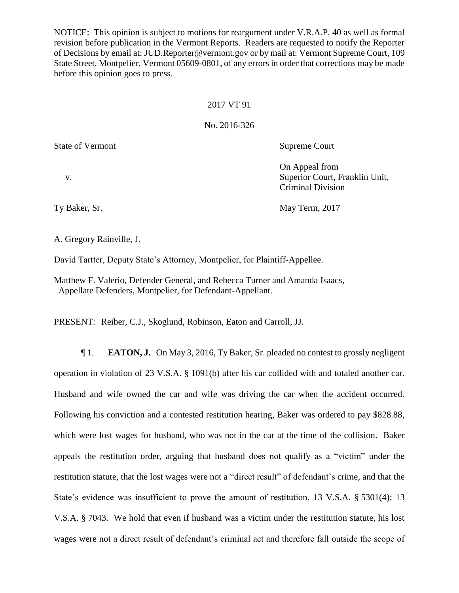NOTICE: This opinion is subject to motions for reargument under V.R.A.P. 40 as well as formal revision before publication in the Vermont Reports. Readers are requested to notify the Reporter of Decisions by email at: JUD.Reporter@vermont.gov or by mail at: Vermont Supreme Court, 109 State Street, Montpelier, Vermont 05609-0801, of any errors in order that corrections may be made before this opinion goes to press.

## 2017 VT 91

## No. 2016-326

State of Vermont Supreme Court

On Appeal from v. Superior Court, Franklin Unit, Criminal Division

Ty Baker, Sr. May Term, 2017

A. Gregory Rainville, J.

David Tartter, Deputy State's Attorney, Montpelier, for Plaintiff-Appellee.

Matthew F. Valerio, Defender General, and Rebecca Turner and Amanda Isaacs, Appellate Defenders, Montpelier, for Defendant-Appellant.

PRESENT: Reiber, C.J., Skoglund, Robinson, Eaton and Carroll, JJ.

¶ 1. **EATON, J.** On May 3, 2016, Ty Baker, Sr. pleaded no contest to grossly negligent operation in violation of 23 V.S.A. § 1091(b) after his car collided with and totaled another car. Husband and wife owned the car and wife was driving the car when the accident occurred. Following his conviction and a contested restitution hearing, Baker was ordered to pay \$828.88, which were lost wages for husband, who was not in the car at the time of the collision. Baker appeals the restitution order, arguing that husband does not qualify as a "victim" under the restitution statute, that the lost wages were not a "direct result" of defendant's crime, and that the State's evidence was insufficient to prove the amount of restitution. 13 V.S.A. § 5301(4); 13 V.S.A. § 7043. We hold that even if husband was a victim under the restitution statute, his lost wages were not a direct result of defendant's criminal act and therefore fall outside the scope of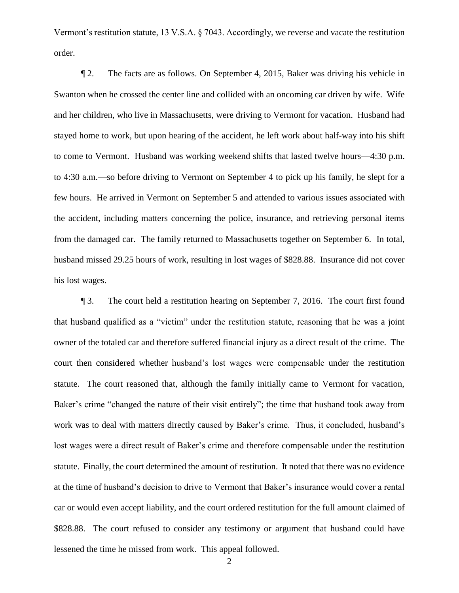Vermont's restitution statute, 13 V.S.A. § 7043. Accordingly, we reverse and vacate the restitution order.

¶ 2. The facts are as follows. On September 4, 2015, Baker was driving his vehicle in Swanton when he crossed the center line and collided with an oncoming car driven by wife. Wife and her children, who live in Massachusetts, were driving to Vermont for vacation. Husband had stayed home to work, but upon hearing of the accident, he left work about half-way into his shift to come to Vermont. Husband was working weekend shifts that lasted twelve hours—4:30 p.m. to 4:30 a.m.—so before driving to Vermont on September 4 to pick up his family, he slept for a few hours. He arrived in Vermont on September 5 and attended to various issues associated with the accident, including matters concerning the police, insurance, and retrieving personal items from the damaged car. The family returned to Massachusetts together on September 6. In total, husband missed 29.25 hours of work, resulting in lost wages of \$828.88.Insurance did not cover his lost wages.

¶ 3. The court held a restitution hearing on September 7, 2016. The court first found that husband qualified as a "victim" under the restitution statute, reasoning that he was a joint owner of the totaled car and therefore suffered financial injury as a direct result of the crime. The court then considered whether husband's lost wages were compensable under the restitution statute. The court reasoned that, although the family initially came to Vermont for vacation, Baker's crime "changed the nature of their visit entirely"; the time that husband took away from work was to deal with matters directly caused by Baker's crime. Thus, it concluded, husband's lost wages were a direct result of Baker's crime and therefore compensable under the restitution statute. Finally, the court determined the amount of restitution. It noted that there was no evidence at the time of husband's decision to drive to Vermont that Baker's insurance would cover a rental car or would even accept liability, and the court ordered restitution for the full amount claimed of \$828.88. The court refused to consider any testimony or argument that husband could have lessened the time he missed from work. This appeal followed.

2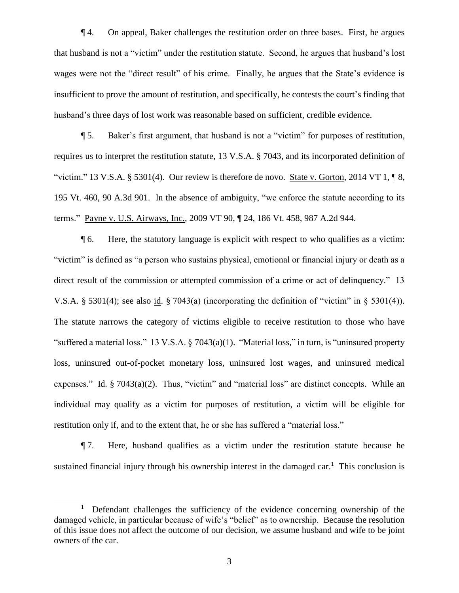¶ 4. On appeal, Baker challenges the restitution order on three bases. First, he argues that husband is not a "victim" under the restitution statute. Second, he argues that husband's lost wages were not the "direct result" of his crime. Finally, he argues that the State's evidence is insufficient to prove the amount of restitution, and specifically, he contests the court's finding that husband's three days of lost work was reasonable based on sufficient, credible evidence.

¶ 5. Baker's first argument, that husband is not a "victim" for purposes of restitution, requires us to interpret the restitution statute, 13 V.S.A. § 7043, and its incorporated definition of "victim." 13 V.S.A. § 5301(4). Our review is therefore de novo. State v. Gorton, 2014 VT  $1, \P 8$ , 195 Vt. 460, 90 A.3d 901. In the absence of ambiguity, "we enforce the statute according to its terms." Payne v. U.S. Airways, Inc., 2009 VT 90, ¶ 24, 186 Vt. 458, 987 A.2d 944.

¶ 6. Here, the statutory language is explicit with respect to who qualifies as a victim: "victim" is defined as "a person who sustains physical, emotional or financial injury or death as a direct result of the commission or attempted commission of a crime or act of delinquency." 13 V.S.A. § 5301(4); see also id. § 7043(a) (incorporating the definition of "victim" in § 5301(4)). The statute narrows the category of victims eligible to receive restitution to those who have "suffered a material loss." 13 V.S.A. § 7043(a)(1). "Material loss," in turn, is "uninsured property loss, uninsured out-of-pocket monetary loss, uninsured lost wages, and uninsured medical expenses." Id. § 7043(a)(2). Thus, "victim" and "material loss" are distinct concepts. While an individual may qualify as a victim for purposes of restitution, a victim will be eligible for restitution only if, and to the extent that, he or she has suffered a "material loss."

¶ 7. Here, husband qualifies as a victim under the restitution statute because he sustained financial injury through his ownership interest in the damaged car.<sup>1</sup> This conclusion is

<sup>&</sup>lt;sup>1</sup> Defendant challenges the sufficiency of the evidence concerning ownership of the damaged vehicle, in particular because of wife's "belief" as to ownership. Because the resolution of this issue does not affect the outcome of our decision, we assume husband and wife to be joint owners of the car.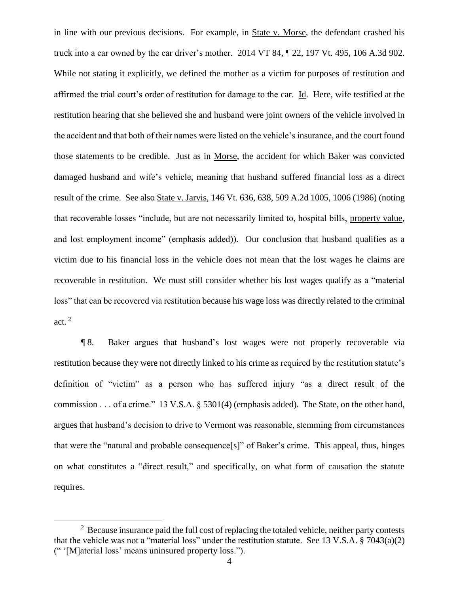in line with our previous decisions. For example, in State v. Morse, the defendant crashed his truck into a car owned by the car driver's mother. 2014 VT 84, ¶ 22, 197 Vt. 495, 106 A.3d 902. While not stating it explicitly, we defined the mother as a victim for purposes of restitution and affirmed the trial court's order of restitution for damage to the car. Id. Here, wife testified at the restitution hearing that she believed she and husband were joint owners of the vehicle involved in the accident and that both of their names were listed on the vehicle's insurance, and the court found those statements to be credible. Just as in Morse, the accident for which Baker was convicted damaged husband and wife's vehicle, meaning that husband suffered financial loss as a direct result of the crime. See also State v. Jarvis, 146 Vt. 636, 638, 509 A.2d 1005, 1006 (1986) (noting that recoverable losses "include, but are not necessarily limited to, hospital bills, property value, and lost employment income" (emphasis added)). Our conclusion that husband qualifies as a victim due to his financial loss in the vehicle does not mean that the lost wages he claims are recoverable in restitution. We must still consider whether his lost wages qualify as a "material loss" that can be recovered via restitution because his wage loss was directly related to the criminal act. <sup>2</sup>

¶ 8. Baker argues that husband's lost wages were not properly recoverable via restitution because they were not directly linked to his crime as required by the restitution statute's definition of "victim" as a person who has suffered injury "as a direct result of the commission . . . of a crime." 13 V.S.A. § 5301(4) (emphasis added). The State, on the other hand, argues that husband's decision to drive to Vermont was reasonable, stemming from circumstances that were the "natural and probable consequence[s]" of Baker's crime. This appeal, thus, hinges on what constitutes a "direct result," and specifically, on what form of causation the statute requires.

 $2$  Because insurance paid the full cost of replacing the totaled vehicle, neither party contests that the vehicle was not a "material loss" under the restitution statute. See 13 V.S.A. § 7043(a)(2) (" '[M]aterial loss' means uninsured property loss.").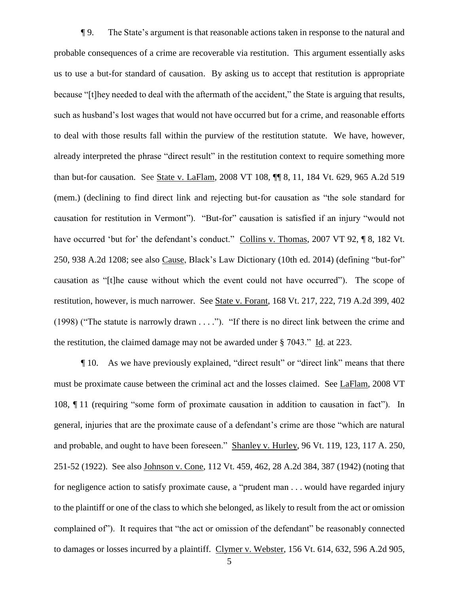¶ 9. The State's argument is that reasonable actions taken in response to the natural and probable consequences of a crime are recoverable via restitution. This argument essentially asks us to use a but-for standard of causation. By asking us to accept that restitution is appropriate because "[t]hey needed to deal with the aftermath of the accident," the State is arguing that results, such as husband's lost wages that would not have occurred but for a crime, and reasonable efforts to deal with those results fall within the purview of the restitution statute. We have, however, already interpreted the phrase "direct result" in the restitution context to require something more than but-for causation. See State v. LaFlam, 2008 VT 108, ¶¶ 8, 11, 184 Vt. 629, 965 A.2d 519 (mem.) (declining to find direct link and rejecting but-for causation as "the sole standard for causation for restitution in Vermont"). "But-for" causation is satisfied if an injury "would not have occurred 'but for' the defendant's conduct." Collins v. Thomas, 2007 VT 92, ¶ 8, 182 Vt. 250, 938 A.2d 1208; see also Cause, Black's Law Dictionary (10th ed. 2014) (defining "but-for" causation as "[t]he cause without which the event could not have occurred"). The scope of restitution, however, is much narrower. See State v. Forant, 168 Vt. 217, 222, 719 A.2d 399, 402 (1998) ("The statute is narrowly drawn . . . ."). "If there is no direct link between the crime and the restitution, the claimed damage may not be awarded under § 7043." Id. at 223.

¶ 10. As we have previously explained, "direct result" or "direct link" means that there must be proximate cause between the criminal act and the losses claimed. See LaFlam, 2008 VT 108, ¶ 11 (requiring "some form of proximate causation in addition to causation in fact"). In general, injuries that are the proximate cause of a defendant's crime are those "which are natural and probable, and ought to have been foreseen." Shanley v. Hurley, 96 Vt. 119, 123, 117 A. 250, 251-52 (1922). See also Johnson v. Cone, 112 Vt. 459, 462, 28 A.2d 384, 387 (1942) (noting that for negligence action to satisfy proximate cause, a "prudent man . . . would have regarded injury to the plaintiff or one of the class to which she belonged, as likely to result from the act or omission complained of"). It requires that "the act or omission of the defendant" be reasonably connected to damages or losses incurred by a plaintiff. Clymer v. Webster, 156 Vt. 614, 632, 596 A.2d 905,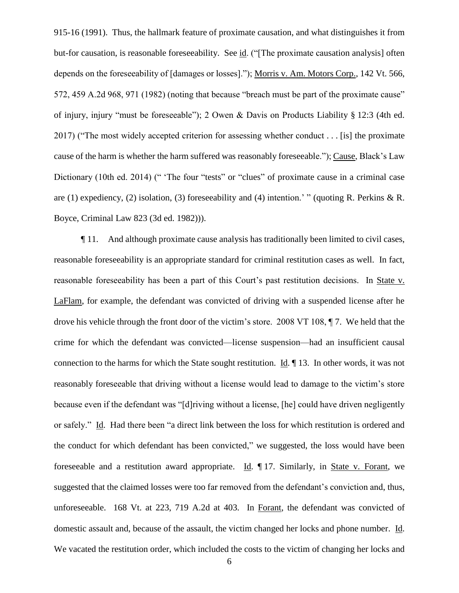915-16 (1991). Thus, the hallmark feature of proximate causation, and what distinguishes it from but-for causation, is reasonable foreseeability. See id. ("[The proximate causation analysis] often depends on the foreseeability of [damages or losses]."); Morris v. Am. Motors Corp., 142 Vt. 566, 572, 459 A.2d 968, 971 (1982) (noting that because "breach must be part of the proximate cause" of injury, injury "must be foreseeable"); 2 Owen & Davis on Products Liability § 12:3 (4th ed. 2017) ("The most widely accepted criterion for assessing whether conduct . . . [is] the proximate cause of the harm is whether the harm suffered was reasonably foreseeable."); Cause, Black's Law Dictionary (10th ed. 2014) (" 'The four "tests" or "clues" of proximate cause in a criminal case are (1) expediency, (2) isolation, (3) foreseeability and (4) intention.' " (quoting R. Perkins & R. Boyce, Criminal Law 823 (3d ed. 1982))).

¶ 11. And although proximate cause analysis has traditionally been limited to civil cases, reasonable foreseeability is an appropriate standard for criminal restitution cases as well. In fact, reasonable foreseeability has been a part of this Court's past restitution decisions. In State v. LaFlam, for example, the defendant was convicted of driving with a suspended license after he drove his vehicle through the front door of the victim's store. 2008 VT 108, ¶ 7. We held that the crime for which the defendant was convicted—license suspension—had an insufficient causal connection to the harms for which the State sought restitution. Id. ¶ 13. In other words, it was not reasonably foreseeable that driving without a license would lead to damage to the victim's store because even if the defendant was "[d]riving without a license, [he] could have driven negligently or safely." Id. Had there been "a direct link between the loss for which restitution is ordered and the conduct for which defendant has been convicted," we suggested, the loss would have been foreseeable and a restitution award appropriate. Id. ¶ 17. Similarly, in State v. Forant, we suggested that the claimed losses were too far removed from the defendant's conviction and, thus, unforeseeable. 168 Vt. at 223, 719 A.2d at 403. In Forant, the defendant was convicted of domestic assault and, because of the assault, the victim changed her locks and phone number. Id. We vacated the restitution order, which included the costs to the victim of changing her locks and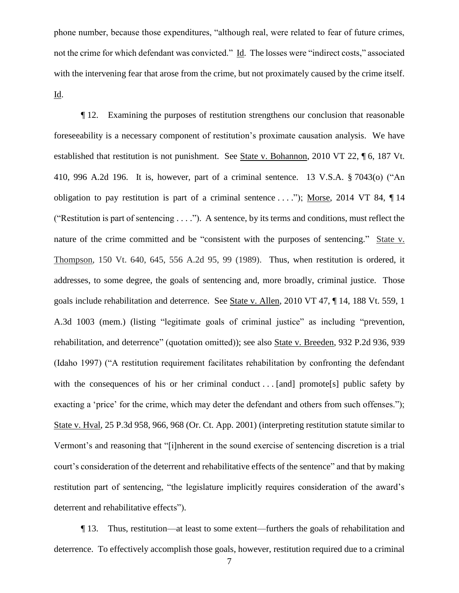phone number, because those expenditures, "although real, were related to fear of future crimes, not the crime for which defendant was convicted." Id. The losses were "indirect costs," associated with the intervening fear that arose from the crime, but not proximately caused by the crime itself. Id.

¶ 12. Examining the purposes of restitution strengthens our conclusion that reasonable foreseeability is a necessary component of restitution's proximate causation analysis. We have established that restitution is not punishment. See State v. Bohannon, 2010 VT 22, ¶ 6, 187 Vt. 410, 996 A.2d 196. It is, however, part of a criminal sentence. 13 V.S.A. § 7043(o) ("An obligation to pay restitution is part of a criminal sentence ...."); Morse, 2014 VT 84,  $\P$ 14 ("Restitution is part of sentencing . . . ."). A sentence, by its terms and conditions, must reflect the nature of the crime committed and be "consistent with the purposes of sentencing." State v. Thompson, 150 Vt. 640, 645, 556 A.2d 95, 99 (1989). Thus, when restitution is ordered, it addresses, to some degree, the goals of sentencing and, more broadly, criminal justice. Those goals include rehabilitation and deterrence. See State v. Allen, 2010 VT 47, ¶ 14, 188 Vt. 559, 1 A.3d 1003 (mem.) (listing "legitimate goals of criminal justice" as including "prevention, rehabilitation, and deterrence" (quotation omitted)); see also State v. Breeden, 932 P.2d 936, 939 (Idaho 1997) ("A restitution requirement facilitates rehabilitation by confronting the defendant with the consequences of his or her criminal conduct . . . [and] promote[s] public safety by exacting a 'price' for the crime, which may deter the defendant and others from such offenses."); State v. Hval, 25 P.3d 958, 966, 968 (Or. Ct. App. 2001) (interpreting restitution statute similar to Vermont's and reasoning that "[i]nherent in the sound exercise of sentencing discretion is a trial court's consideration of the deterrent and rehabilitative effects of the sentence" and that by making restitution part of sentencing, "the legislature implicitly requires consideration of the award's deterrent and rehabilitative effects").

¶ 13. Thus, restitution—at least to some extent—furthers the goals of rehabilitation and deterrence. To effectively accomplish those goals, however, restitution required due to a criminal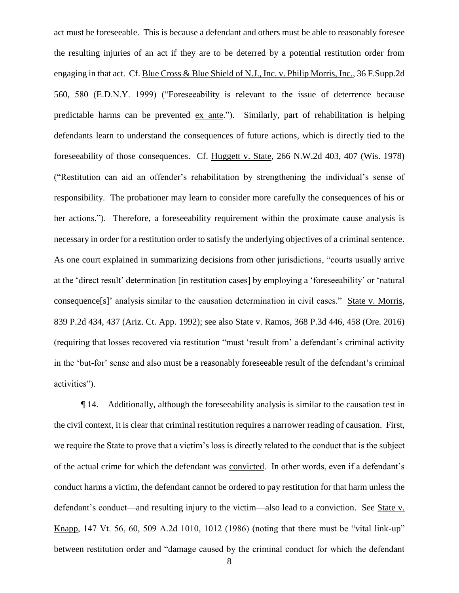act must be foreseeable. This is because a defendant and others must be able to reasonably foresee the resulting injuries of an act if they are to be deterred by a potential restitution order from engaging in that act. Cf. Blue Cross & Blue Shield of N.J., Inc. v. Philip Morris, Inc., 36 F.Supp.2d 560, 580 (E.D.N.Y. 1999) ("Foreseeability is relevant to the issue of deterrence because predictable harms can be prevented ex ante."). Similarly, part of rehabilitation is helping defendants learn to understand the consequences of future actions, which is directly tied to the foreseeability of those consequences. Cf. Huggett v. State, 266 N.W.2d 403, 407 (Wis. 1978) ("Restitution can aid an offender's rehabilitation by strengthening the individual's sense of responsibility. The probationer may learn to consider more carefully the consequences of his or her actions."). Therefore, a foreseeability requirement within the proximate cause analysis is necessary in order for a restitution order to satisfy the underlying objectives of a criminal sentence. As one court explained in summarizing decisions from other jurisdictions, "courts usually arrive at the 'direct result' determination [in restitution cases] by employing a 'foreseeability' or 'natural consequence[s]' analysis similar to the causation determination in civil cases." State v. Morris, 839 P.2d 434, 437 (Ariz. Ct. App. 1992); see also State v. Ramos, 368 P.3d 446, 458 (Ore. 2016) (requiring that losses recovered via restitution "must 'result from' a defendant's criminal activity in the 'but-for' sense and also must be a reasonably foreseeable result of the defendant's criminal activities").

¶ 14. Additionally, although the foreseeability analysis is similar to the causation test in the civil context, it is clear that criminal restitution requires a narrower reading of causation. First, we require the State to prove that a victim's loss is directly related to the conduct that is the subject of the actual crime for which the defendant was convicted. In other words, even if a defendant's conduct harms a victim, the defendant cannot be ordered to pay restitution for that harm unless the defendant's conduct—and resulting injury to the victim—also lead to a conviction. See State v. Knapp, 147 Vt. 56, 60, 509 A.2d 1010, 1012 (1986) (noting that there must be "vital link-up" between restitution order and "damage caused by the criminal conduct for which the defendant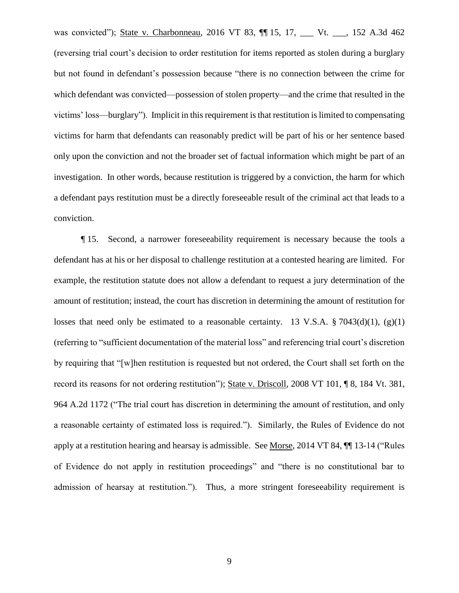was convicted"); State v. Charbonneau, 2016 VT 83, ¶¶ 15, 17, \_\_\_ Vt. \_\_\_, 152 A.3d 462 (reversing trial court's decision to order restitution for items reported as stolen during a burglary but not found in defendant's possession because "there is no connection between the crime for which defendant was convicted—possession of stolen property—and the crime that resulted in the victims' loss—burglary"). Implicit in this requirement is that restitution is limited to compensating victims for harm that defendants can reasonably predict will be part of his or her sentence based only upon the conviction and not the broader set of factual information which might be part of an investigation. In other words, because restitution is triggered by a conviction, the harm for which a defendant pays restitution must be a directly foreseeable result of the criminal act that leads to a conviction.

¶ 15. Second, a narrower foreseeability requirement is necessary because the tools a defendant has at his or her disposal to challenge restitution at a contested hearing are limited. For example, the restitution statute does not allow a defendant to request a jury determination of the amount of restitution; instead, the court has discretion in determining the amount of restitution for losses that need only be estimated to a reasonable certainty. 13 V.S.A.  $\S 7043(d)(1)$ , (g)(1) (referring to "sufficient documentation of the material loss" and referencing trial court's discretion by requiring that "[w]hen restitution is requested but not ordered, the Court shall set forth on the record its reasons for not ordering restitution"); State v. Driscoll, 2008 VT 101, ¶ 8, 184 Vt. 381, 964 A.2d 1172 ("The trial court has discretion in determining the amount of restitution, and only a reasonable certainty of estimated loss is required."). Similarly, the Rules of Evidence do not apply at a restitution hearing and hearsay is admissible. See Morse, 2014 VT 84, ¶¶ 13-14 ("Rules of Evidence do not apply in restitution proceedings" and "there is no constitutional bar to admission of hearsay at restitution."). Thus, a more stringent foreseeability requirement is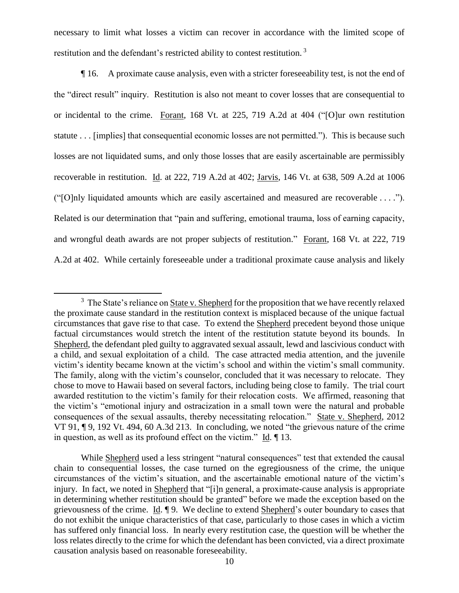necessary to limit what losses a victim can recover in accordance with the limited scope of restitution and the defendant's restricted ability to contest restitution.<sup>3</sup>

¶ 16. A proximate cause analysis, even with a stricter foreseeability test, is not the end of the "direct result" inquiry. Restitution is also not meant to cover losses that are consequential to or incidental to the crime. Forant, 168 Vt. at 225, 719 A.2d at 404 ("[O]ur own restitution statute . . . [implies] that consequential economic losses are not permitted."). This is because such losses are not liquidated sums, and only those losses that are easily ascertainable are permissibly recoverable in restitution. Id. at 222, 719 A.2d at 402; Jarvis, 146 Vt. at 638, 509 A.2d at 1006 ("[O]nly liquidated amounts which are easily ascertained and measured are recoverable . . . ."). Related is our determination that "pain and suffering, emotional trauma, loss of earning capacity, and wrongful death awards are not proper subjects of restitution." Forant, 168 Vt. at 222, 719 A.2d at 402. While certainly foreseeable under a traditional proximate cause analysis and likely

 $3$  The State's reliance on State v. Shepherd for the proposition that we have recently relaxed the proximate cause standard in the restitution context is misplaced because of the unique factual circumstances that gave rise to that case. To extend the Shepherd precedent beyond those unique factual circumstances would stretch the intent of the restitution statute beyond its bounds. In Shepherd, the defendant pled guilty to aggravated sexual assault, lewd and lascivious conduct with a child, and sexual exploitation of a child. The case attracted media attention, and the juvenile victim's identity became known at the victim's school and within the victim's small community. The family, along with the victim's counselor, concluded that it was necessary to relocate. They chose to move to Hawaii based on several factors, including being close to family. The trial court awarded restitution to the victim's family for their relocation costs. We affirmed, reasoning that the victim's "emotional injury and ostracization in a small town were the natural and probable consequences of the sexual assaults, thereby necessitating relocation." State v. Shepherd, 2012 VT 91, ¶ 9, 192 Vt. 494, 60 A.3d 213. In concluding, we noted "the grievous nature of the crime in question, as well as its profound effect on the victim." Id. ¶ 13.

While Shepherd used a less stringent "natural consequences" test that extended the causal chain to consequential losses, the case turned on the egregiousness of the crime, the unique circumstances of the victim's situation, and the ascertainable emotional nature of the victim's injury. In fact, we noted in Shepherd that "[i]n general, a proximate-cause analysis is appropriate in determining whether restitution should be granted" before we made the exception based on the grievousness of the crime. Id. ¶ 9. We decline to extend Shepherd's outer boundary to cases that do not exhibit the unique characteristics of that case, particularly to those cases in which a victim has suffered only financial loss. In nearly every restitution case, the question will be whether the loss relates directly to the crime for which the defendant has been convicted, via a direct proximate causation analysis based on reasonable foreseeability.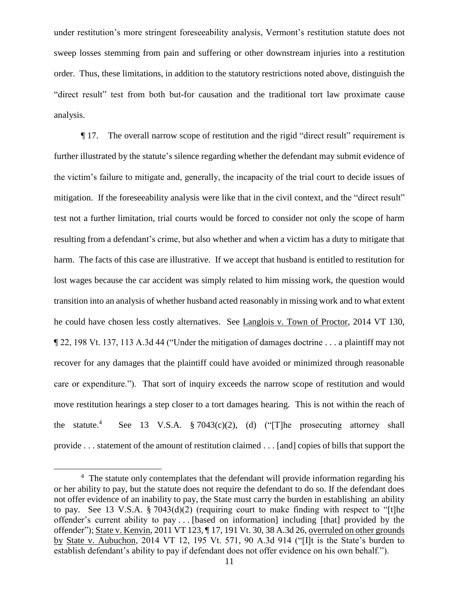under restitution's more stringent foreseeability analysis, Vermont's restitution statute does not sweep losses stemming from pain and suffering or other downstream injuries into a restitution order. Thus, these limitations, in addition to the statutory restrictions noted above, distinguish the "direct result" test from both but-for causation and the traditional tort law proximate cause analysis.

¶ 17. The overall narrow scope of restitution and the rigid "direct result" requirement is further illustrated by the statute's silence regarding whether the defendant may submit evidence of the victim's failure to mitigate and, generally, the incapacity of the trial court to decide issues of mitigation. If the foreseeability analysis were like that in the civil context, and the "direct result" test not a further limitation, trial courts would be forced to consider not only the scope of harm resulting from a defendant's crime, but also whether and when a victim has a duty to mitigate that harm. The facts of this case are illustrative. If we accept that husband is entitled to restitution for lost wages because the car accident was simply related to him missing work, the question would transition into an analysis of whether husband acted reasonably in missing work and to what extent he could have chosen less costly alternatives. See Langlois v. Town of Proctor, 2014 VT 130, ¶ 22, 198 Vt. 137, 113 A.3d 44 ("Under the mitigation of damages doctrine . . . a plaintiff may not recover for any damages that the plaintiff could have avoided or minimized through reasonable care or expenditure."). That sort of inquiry exceeds the narrow scope of restitution and would move restitution hearings a step closer to a tort damages hearing. This is not within the reach of the statute.<sup>4</sup> See 13 V.S.A. § 7043(c)(2), (d) ("[T]he prosecuting attorney shall provide . . . statement of the amount of restitution claimed . . . [and] copies of bills that support the

<sup>&</sup>lt;sup>4</sup> The statute only contemplates that the defendant will provide information regarding his or her ability to pay, but the statute does not require the defendant to do so. If the defendant does not offer evidence of an inability to pay, the State must carry the burden in establishing an ability to pay. See 13 V.S.A. § 7043(d)(2) (requiring court to make finding with respect to "[t]he offender's current ability to pay . . . [based on information] including [that] provided by the offender"); State v. Kenvin, 2011 VT 123, ¶ 17, 191 Vt. 30, 38 A.3d 26, overruled on other grounds by State v. Aubuchon, 2014 VT 12, 195 Vt. 571, 90 A.3d 914 ("[I]t is the State's burden to establish defendant's ability to pay if defendant does not offer evidence on his own behalf.").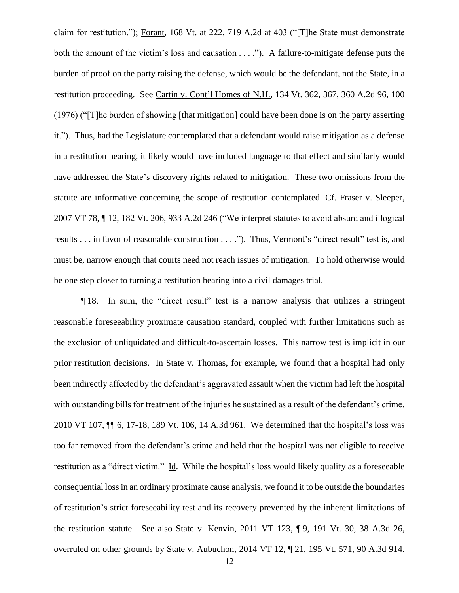claim for restitution."); Forant, 168 Vt. at 222, 719 A.2d at 403 ("[T]he State must demonstrate both the amount of the victim's loss and causation . . . ."). A failure-to-mitigate defense puts the burden of proof on the party raising the defense, which would be the defendant, not the State, in a restitution proceeding. See Cartin v. Cont'l Homes of N.H., 134 Vt. 362, 367, 360 A.2d 96, 100 (1976) ("[T]he burden of showing [that mitigation] could have been done is on the party asserting it."). Thus, had the Legislature contemplated that a defendant would raise mitigation as a defense in a restitution hearing, it likely would have included language to that effect and similarly would have addressed the State's discovery rights related to mitigation. These two omissions from the statute are informative concerning the scope of restitution contemplated. Cf. Fraser v. Sleeper, 2007 VT 78, ¶ 12, 182 Vt. 206, 933 A.2d 246 ("We interpret statutes to avoid absurd and illogical results . . . in favor of reasonable construction . . . ."). Thus, Vermont's "direct result" test is, and must be, narrow enough that courts need not reach issues of mitigation. To hold otherwise would be one step closer to turning a restitution hearing into a civil damages trial.

¶ 18. In sum, the "direct result" test is a narrow analysis that utilizes a stringent reasonable foreseeability proximate causation standard, coupled with further limitations such as the exclusion of unliquidated and difficult-to-ascertain losses. This narrow test is implicit in our prior restitution decisions. In State v. Thomas, for example, we found that a hospital had only been indirectly affected by the defendant's aggravated assault when the victim had left the hospital with outstanding bills for treatment of the injuries he sustained as a result of the defendant's crime. 2010 VT 107, ¶¶ 6, 17-18, 189 Vt. 106, 14 A.3d 961. We determined that the hospital's loss was too far removed from the defendant's crime and held that the hospital was not eligible to receive restitution as a "direct victim." Id. While the hospital's loss would likely qualify as a foreseeable consequential loss in an ordinary proximate cause analysis, we found it to be outside the boundaries of restitution's strict foreseeability test and its recovery prevented by the inherent limitations of the restitution statute. See also State v. Kenvin, 2011 VT 123, ¶ 9, 191 Vt. 30, 38 A.3d 26, overruled on other grounds by State v. Aubuchon, 2014 VT 12, ¶ 21, 195 Vt. 571, 90 A.3d 914.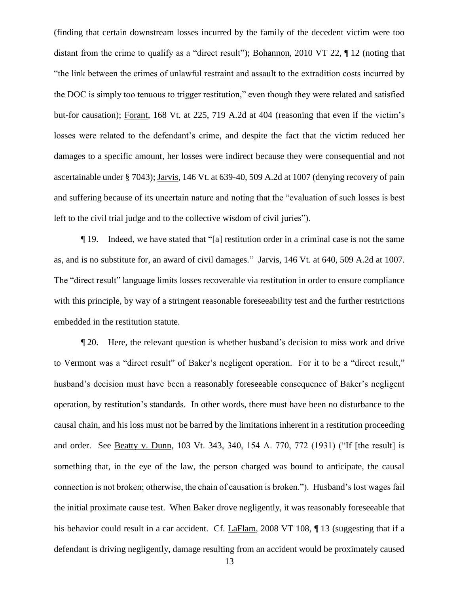(finding that certain downstream losses incurred by the family of the decedent victim were too distant from the crime to qualify as a "direct result"); Bohannon, 2010 VT 22, ¶ 12 (noting that "the link between the crimes of unlawful restraint and assault to the extradition costs incurred by the DOC is simply too tenuous to trigger restitution," even though they were related and satisfied but-for causation); Forant, 168 Vt. at 225, 719 A.2d at 404 (reasoning that even if the victim's losses were related to the defendant's crime, and despite the fact that the victim reduced her damages to a specific amount, her losses were indirect because they were consequential and not ascertainable under § 7043); Jarvis, 146 Vt. at 639-40, 509 A.2d at 1007 (denying recovery of pain and suffering because of its uncertain nature and noting that the "evaluation of such losses is best left to the civil trial judge and to the collective wisdom of civil juries").

¶ 19. Indeed, we have stated that "[a] restitution order in a criminal case is not the same as, and is no substitute for, an award of civil damages." Jarvis, 146 Vt. at 640, 509 A.2d at 1007. The "direct result" language limits losses recoverable via restitution in order to ensure compliance with this principle, by way of a stringent reasonable foreseeability test and the further restrictions embedded in the restitution statute.

¶ 20. Here, the relevant question is whether husband's decision to miss work and drive to Vermont was a "direct result" of Baker's negligent operation. For it to be a "direct result," husband's decision must have been a reasonably foreseeable consequence of Baker's negligent operation, by restitution's standards. In other words, there must have been no disturbance to the causal chain, and his loss must not be barred by the limitations inherent in a restitution proceeding and order. See Beatty v. Dunn, 103 Vt. 343, 340, 154 A. 770, 772 (1931) ("If [the result] is something that, in the eye of the law, the person charged was bound to anticipate, the causal connection is not broken; otherwise, the chain of causation is broken."). Husband's lost wages fail the initial proximate cause test. When Baker drove negligently, it was reasonably foreseeable that his behavior could result in a car accident. Cf. LaFlam, 2008 VT 108, ¶13 (suggesting that if a defendant is driving negligently, damage resulting from an accident would be proximately caused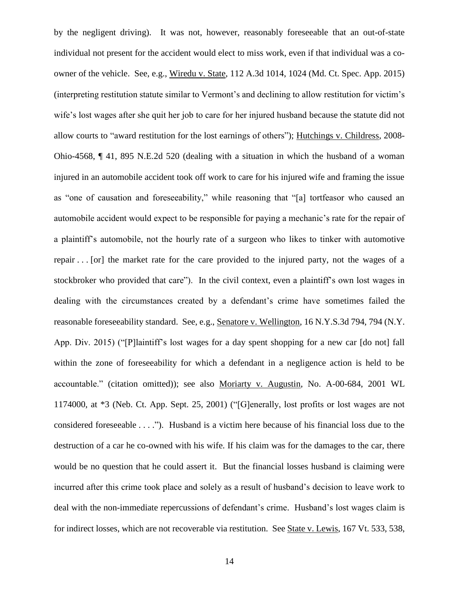by the negligent driving). It was not, however, reasonably foreseeable that an out-of-state individual not present for the accident would elect to miss work, even if that individual was a coowner of the vehicle. See, e.g., Wiredu v. State, 112 A.3d 1014, 1024 (Md. Ct. Spec. App. 2015) (interpreting restitution statute similar to Vermont's and declining to allow restitution for victim's wife's lost wages after she quit her job to care for her injured husband because the statute did not allow courts to "award restitution for the lost earnings of others"); Hutchings v. Childress, 2008- Ohio-4568, ¶ 41, 895 N.E.2d 520 (dealing with a situation in which the husband of a woman injured in an automobile accident took off work to care for his injured wife and framing the issue as "one of causation and foreseeability," while reasoning that "[a] tortfeasor who caused an automobile accident would expect to be responsible for paying a mechanic's rate for the repair of a plaintiff's automobile, not the hourly rate of a surgeon who likes to tinker with automotive repair . . . [or] the market rate for the care provided to the injured party, not the wages of a stockbroker who provided that care"). In the civil context, even a plaintiff's own lost wages in dealing with the circumstances created by a defendant's crime have sometimes failed the reasonable foreseeability standard. See, e.g., Senatore v. Wellington, 16 N.Y.S.3d 794, 794 (N.Y. App. Div. 2015) ("[P]laintiff's lost wages for a day spent shopping for a new car [do not] fall within the zone of foreseeability for which a defendant in a negligence action is held to be accountable." (citation omitted)); see also Moriarty v. Augustin, No. A-00-684, 2001 WL 1174000, at \*3 (Neb. Ct. App. Sept. 25, 2001) ("[G]enerally, lost profits or lost wages are not considered foreseeable . . . ."). Husband is a victim here because of his financial loss due to the destruction of a car he co-owned with his wife. If his claim was for the damages to the car, there would be no question that he could assert it. But the financial losses husband is claiming were incurred after this crime took place and solely as a result of husband's decision to leave work to deal with the non-immediate repercussions of defendant's crime. Husband's lost wages claim is for indirect losses, which are not recoverable via restitution. See State v. Lewis, 167 Vt. 533, 538,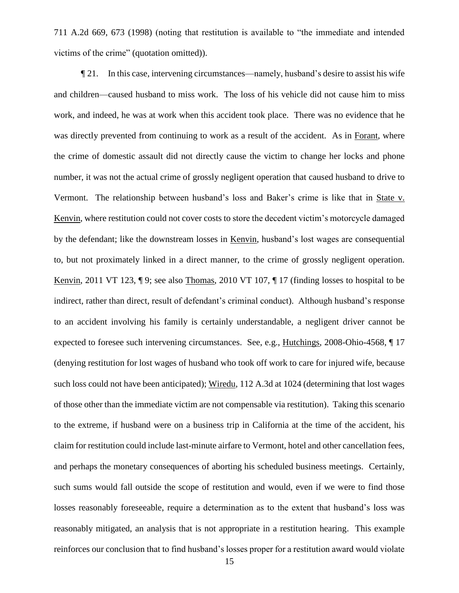711 A.2d 669, 673 (1998) (noting that restitution is available to "the immediate and intended victims of the crime" (quotation omitted)).

¶ 21. In this case, intervening circumstances—namely, husband's desire to assist his wife and children—caused husband to miss work. The loss of his vehicle did not cause him to miss work, and indeed, he was at work when this accident took place. There was no evidence that he was directly prevented from continuing to work as a result of the accident. As in Forant, where the crime of domestic assault did not directly cause the victim to change her locks and phone number, it was not the actual crime of grossly negligent operation that caused husband to drive to Vermont. The relationship between husband's loss and Baker's crime is like that in State v. Kenvin, where restitution could not cover costs to store the decedent victim's motorcycle damaged by the defendant; like the downstream losses in Kenvin, husband's lost wages are consequential to, but not proximately linked in a direct manner, to the crime of grossly negligent operation. Kenvin, 2011 VT 123, ¶ 9; see also Thomas, 2010 VT 107, ¶ 17 (finding losses to hospital to be indirect, rather than direct, result of defendant's criminal conduct). Although husband's response to an accident involving his family is certainly understandable, a negligent driver cannot be expected to foresee such intervening circumstances. See, e.g., Hutchings, 2008-Ohio-4568, ¶ 17 (denying restitution for lost wages of husband who took off work to care for injured wife, because such loss could not have been anticipated); Wiredu, 112 A.3d at 1024 (determining that lost wages of those other than the immediate victim are not compensable via restitution). Taking this scenario to the extreme, if husband were on a business trip in California at the time of the accident, his claim for restitution could include last-minute airfare to Vermont, hotel and other cancellation fees, and perhaps the monetary consequences of aborting his scheduled business meetings. Certainly, such sums would fall outside the scope of restitution and would, even if we were to find those losses reasonably foreseeable, require a determination as to the extent that husband's loss was reasonably mitigated, an analysis that is not appropriate in a restitution hearing. This example reinforces our conclusion that to find husband's losses proper for a restitution award would violate